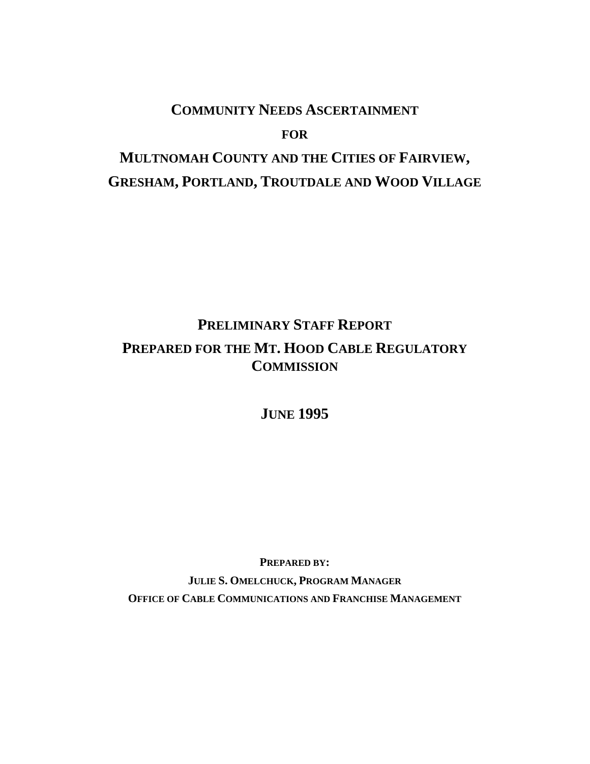# **COMMUNITY NEEDS ASCERTAINMENT**

**FOR**

# **MULTNOMAH COUNTY AND THE CITIES OF FAIRVIEW, GRESHAM, PORTLAND, TROUTDALE AND WOOD VILLAGE**

# **PRELIMINARY STAFF REPORT PREPARED FOR THE MT. HOOD CABLE REGULATORY COMMISSION**

**JUNE 1995**

**PREPARED BY: JULIE S. OMELCHUCK, PROGRAM MANAGER OFFICE OF CABLE COMMUNICATIONS AND FRANCHISE MANAGEMENT**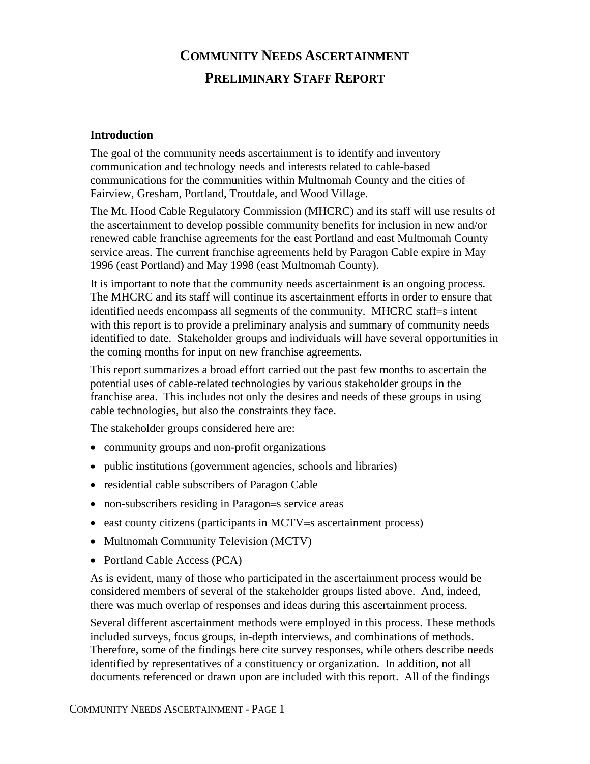# **COMMUNITY NEEDS ASCERTAINMENT PRELIMINARY STAFF REPORT**

#### **Introduction**

The goal of the community needs ascertainment is to identify and inventory communication and technology needs and interests related to cable-based communications for the communities within Multnomah County and the cities of Fairview, Gresham, Portland, Troutdale, and Wood Village.

The Mt. Hood Cable Regulatory Commission (MHCRC) and its staff will use results of the ascertainment to develop possible community benefits for inclusion in new and/or renewed cable franchise agreements for the east Portland and east Multnomah County service areas. The current franchise agreements held by Paragon Cable expire in May 1996 (east Portland) and May 1998 (east Multnomah County).

It is important to note that the community needs ascertainment is an ongoing process. The MHCRC and its staff will continue its ascertainment efforts in order to ensure that identified needs encompass all segments of the community. MHCRC staff=s intent with this report is to provide a preliminary analysis and summary of community needs identified to date. Stakeholder groups and individuals will have several opportunities in the coming months for input on new franchise agreements.

This report summarizes a broad effort carried out the past few months to ascertain the potential uses of cable-related technologies by various stakeholder groups in the franchise area. This includes not only the desires and needs of these groups in using cable technologies, but also the constraints they face.

The stakeholder groups considered here are:

- community groups and non-profit organizations
- public institutions (government agencies, schools and libraries)
- residential cable subscribers of Paragon Cable
- non-subscribers residing in Paragon=s service areas
- east county citizens (participants in MCTV=s ascertainment process)
- Multnomah Community Television (MCTV)
- Portland Cable Access (PCA)

As is evident, many of those who participated in the ascertainment process would be considered members of several of the stakeholder groups listed above. And, indeed, there was much overlap of responses and ideas during this ascertainment process.

Several different ascertainment methods were employed in this process. These methods included surveys, focus groups, in-depth interviews, and combinations of methods. Therefore, some of the findings here cite survey responses, while others describe needs identified by representatives of a constituency or organization. In addition, not all documents referenced or drawn upon are included with this report. All of the findings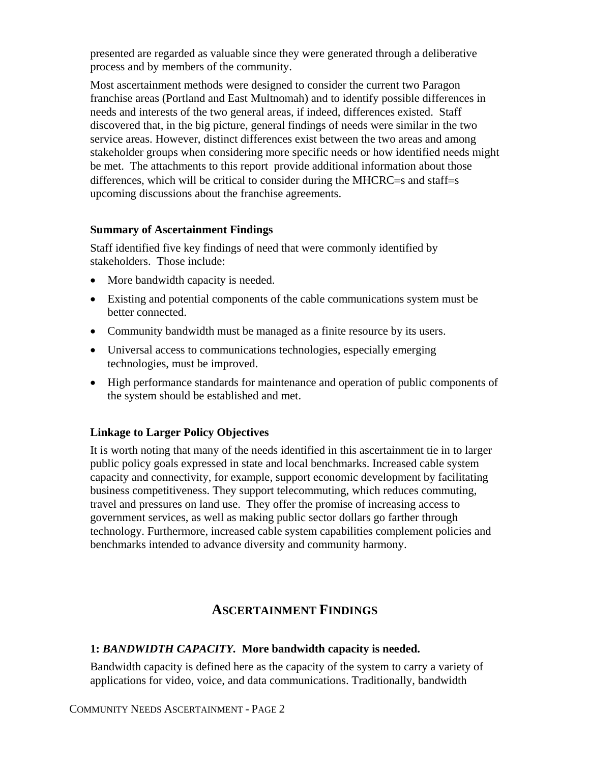presented are regarded as valuable since they were generated through a deliberative process and by members of the community.

Most ascertainment methods were designed to consider the current two Paragon franchise areas (Portland and East Multnomah) and to identify possible differences in needs and interests of the two general areas, if indeed, differences existed. Staff discovered that, in the big picture, general findings of needs were similar in the two service areas. However, distinct differences exist between the two areas and among stakeholder groups when considering more specific needs or how identified needs might be met. The attachments to this report provide additional information about those differences, which will be critical to consider during the MHCRC=s and staff=s upcoming discussions about the franchise agreements.

#### **Summary of Ascertainment Findings**

Staff identified five key findings of need that were commonly identified by stakeholders. Those include:

- More bandwidth capacity is needed.
- Existing and potential components of the cable communications system must be better connected.
- Community bandwidth must be managed as a finite resource by its users.
- Universal access to communications technologies, especially emerging technologies, must be improved.
- High performance standards for maintenance and operation of public components of the system should be established and met.

#### **Linkage to Larger Policy Objectives**

It is worth noting that many of the needs identified in this ascertainment tie in to larger public policy goals expressed in state and local benchmarks. Increased cable system capacity and connectivity, for example, support economic development by facilitating business competitiveness. They support telecommuting, which reduces commuting, travel and pressures on land use. They offer the promise of increasing access to government services, as well as making public sector dollars go farther through technology. Furthermore, increased cable system capabilities complement policies and benchmarks intended to advance diversity and community harmony.

# **ASCERTAINMENT FINDINGS**

#### **1:** *BANDWIDTH CAPACITY.* **More bandwidth capacity is needed.**

Bandwidth capacity is defined here as the capacity of the system to carry a variety of applications for video, voice, and data communications. Traditionally, bandwidth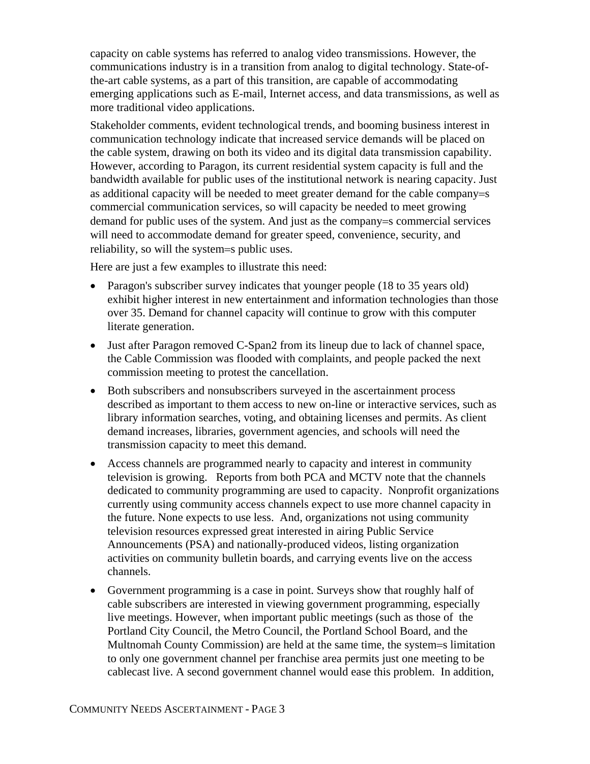capacity on cable systems has referred to analog video transmissions. However, the communications industry is in a transition from analog to digital technology. State-ofthe-art cable systems, as a part of this transition, are capable of accommodating emerging applications such as E-mail, Internet access, and data transmissions, as well as more traditional video applications.

Stakeholder comments, evident technological trends, and booming business interest in communication technology indicate that increased service demands will be placed on the cable system, drawing on both its video and its digital data transmission capability. However, according to Paragon, its current residential system capacity is full and the bandwidth available for public uses of the institutional network is nearing capacity. Just as additional capacity will be needed to meet greater demand for the cable company=s commercial communication services, so will capacity be needed to meet growing demand for public uses of the system. And just as the company=s commercial services will need to accommodate demand for greater speed, convenience, security, and reliability, so will the system=s public uses.

Here are just a few examples to illustrate this need:

- Paragon's subscriber survey indicates that younger people (18 to 35 years old) exhibit higher interest in new entertainment and information technologies than those over 35. Demand for channel capacity will continue to grow with this computer literate generation.
- Just after Paragon removed C-Span2 from its lineup due to lack of channel space, the Cable Commission was flooded with complaints, and people packed the next commission meeting to protest the cancellation.
- Both subscribers and nonsubscribers surveyed in the ascertainment process described as important to them access to new on-line or interactive services, such as library information searches, voting, and obtaining licenses and permits. As client demand increases, libraries, government agencies, and schools will need the transmission capacity to meet this demand.
- Access channels are programmed nearly to capacity and interest in community television is growing. Reports from both PCA and MCTV note that the channels dedicated to community programming are used to capacity. Nonprofit organizations currently using community access channels expect to use more channel capacity in the future. None expects to use less. And, organizations not using community television resources expressed great interested in airing Public Service Announcements (PSA) and nationally-produced videos, listing organization activities on community bulletin boards, and carrying events live on the access channels.
- Government programming is a case in point. Surveys show that roughly half of cable subscribers are interested in viewing government programming, especially live meetings. However, when important public meetings (such as those of the Portland City Council, the Metro Council, the Portland School Board, and the Multnomah County Commission) are held at the same time, the system=s limitation to only one government channel per franchise area permits just one meeting to be cablecast live. A second government channel would ease this problem. In addition,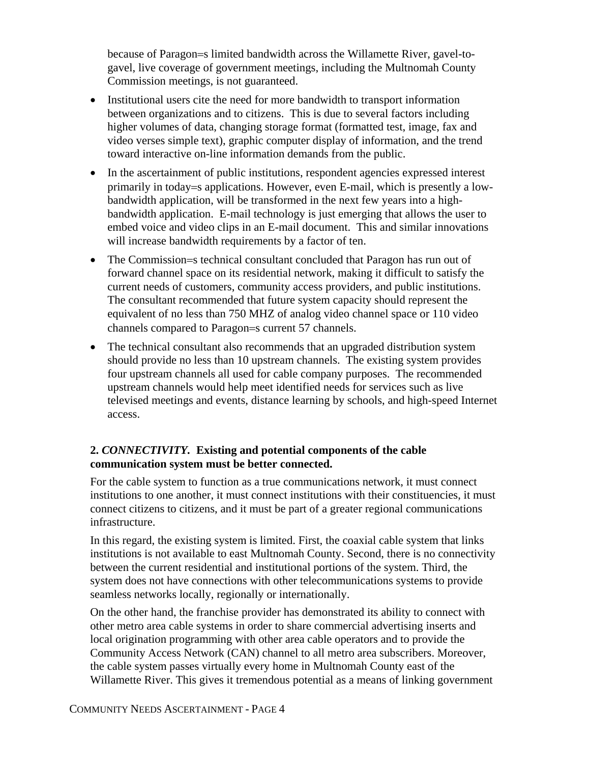because of Paragon=s limited bandwidth across the Willamette River, gavel-togavel, live coverage of government meetings, including the Multnomah County Commission meetings, is not guaranteed.

- Institutional users cite the need for more bandwidth to transport information between organizations and to citizens. This is due to several factors including higher volumes of data, changing storage format (formatted test, image, fax and video verses simple text), graphic computer display of information, and the trend toward interactive on-line information demands from the public.
- In the ascertainment of public institutions, respondent agencies expressed interest primarily in today=s applications. However, even E-mail, which is presently a lowbandwidth application, will be transformed in the next few years into a highbandwidth application. E-mail technology is just emerging that allows the user to embed voice and video clips in an E-mail document. This and similar innovations will increase bandwidth requirements by a factor of ten.
- The Commission=s technical consultant concluded that Paragon has run out of forward channel space on its residential network, making it difficult to satisfy the current needs of customers, community access providers, and public institutions. The consultant recommended that future system capacity should represent the equivalent of no less than 750 MHZ of analog video channel space or 110 video channels compared to Paragon=s current 57 channels.
- The technical consultant also recommends that an upgraded distribution system should provide no less than 10 upstream channels. The existing system provides four upstream channels all used for cable company purposes. The recommended upstream channels would help meet identified needs for services such as live televised meetings and events, distance learning by schools, and high-speed Internet access.

# **2.** *CONNECTIVITY.* **Existing and potential components of the cable communication system must be better connected.**

For the cable system to function as a true communications network, it must connect institutions to one another, it must connect institutions with their constituencies, it must connect citizens to citizens, and it must be part of a greater regional communications infrastructure.

In this regard, the existing system is limited. First, the coaxial cable system that links institutions is not available to east Multnomah County. Second, there is no connectivity between the current residential and institutional portions of the system. Third, the system does not have connections with other telecommunications systems to provide seamless networks locally, regionally or internationally.

On the other hand, the franchise provider has demonstrated its ability to connect with other metro area cable systems in order to share commercial advertising inserts and local origination programming with other area cable operators and to provide the Community Access Network (CAN) channel to all metro area subscribers. Moreover, the cable system passes virtually every home in Multnomah County east of the Willamette River. This gives it tremendous potential as a means of linking government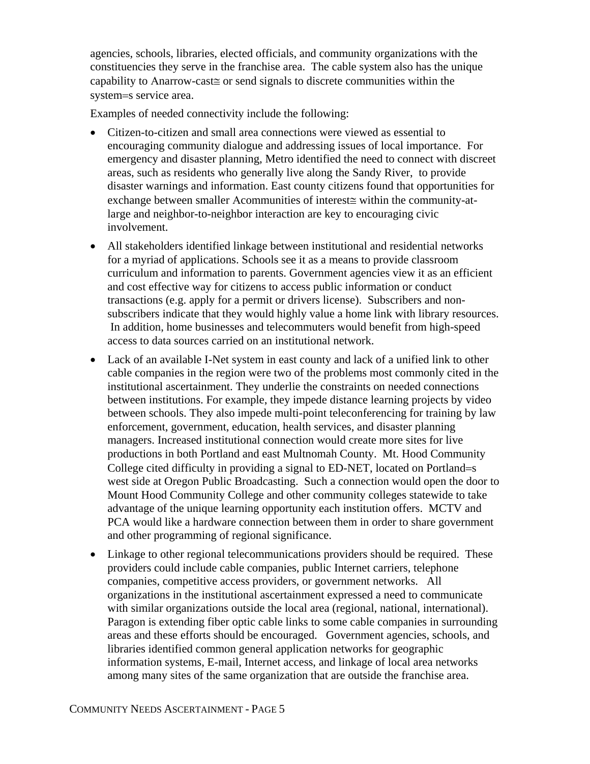agencies, schools, libraries, elected officials, and community organizations with the constituencies they serve in the franchise area. The cable system also has the unique capability to Αnarrow-cast≅ or send signals to discrete communities within the system=s service area.

Examples of needed connectivity include the following:

- Citizen-to-citizen and small area connections were viewed as essential to encouraging community dialogue and addressing issues of local importance. For emergency and disaster planning, Metro identified the need to connect with discreet areas, such as residents who generally live along the Sandy River, to provide disaster warnings and information. East county citizens found that opportunities for exchange between smaller Acommunities of interest≅ within the community-atlarge and neighbor-to-neighbor interaction are key to encouraging civic involvement.
- All stakeholders identified linkage between institutional and residential networks for a myriad of applications. Schools see it as a means to provide classroom curriculum and information to parents. Government agencies view it as an efficient and cost effective way for citizens to access public information or conduct transactions (e.g. apply for a permit or drivers license). Subscribers and nonsubscribers indicate that they would highly value a home link with library resources. In addition, home businesses and telecommuters would benefit from high-speed access to data sources carried on an institutional network.
- Lack of an available I-Net system in east county and lack of a unified link to other cable companies in the region were two of the problems most commonly cited in the institutional ascertainment. They underlie the constraints on needed connections between institutions. For example, they impede distance learning projects by video between schools. They also impede multi-point teleconferencing for training by law enforcement, government, education, health services, and disaster planning managers. Increased institutional connection would create more sites for live productions in both Portland and east Multnomah County. Mt. Hood Community College cited difficulty in providing a signal to ED-NET, located on Portland=s west side at Oregon Public Broadcasting. Such a connection would open the door to Mount Hood Community College and other community colleges statewide to take advantage of the unique learning opportunity each institution offers. MCTV and PCA would like a hardware connection between them in order to share government and other programming of regional significance.
- Linkage to other regional telecommunications providers should be required. These providers could include cable companies, public Internet carriers, telephone companies, competitive access providers, or government networks. All organizations in the institutional ascertainment expressed a need to communicate with similar organizations outside the local area (regional, national, international). Paragon is extending fiber optic cable links to some cable companies in surrounding areas and these efforts should be encouraged. Government agencies, schools, and libraries identified common general application networks for geographic information systems, E-mail, Internet access, and linkage of local area networks among many sites of the same organization that are outside the franchise area.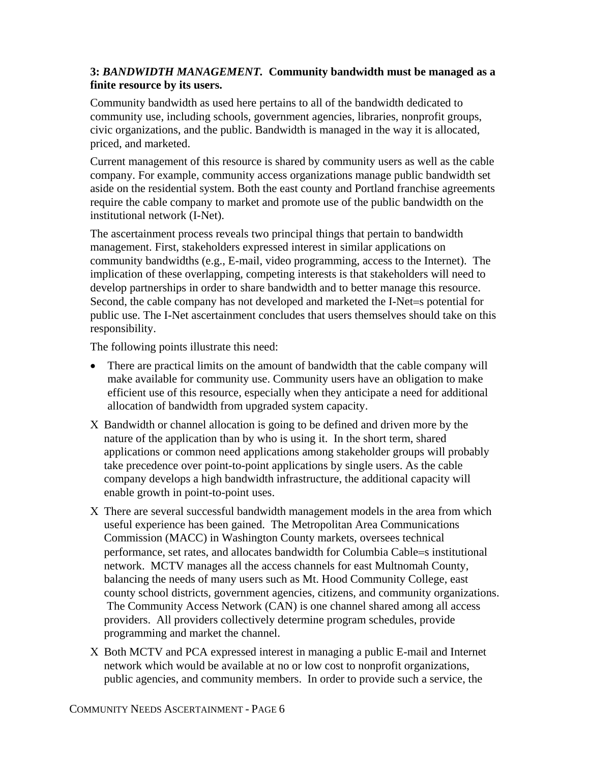# **3:** *BANDWIDTH MANAGEMENT.* **Community bandwidth must be managed as a finite resource by its users.**

Community bandwidth as used here pertains to all of the bandwidth dedicated to community use, including schools, government agencies, libraries, nonprofit groups, civic organizations, and the public. Bandwidth is managed in the way it is allocated, priced, and marketed.

Current management of this resource is shared by community users as well as the cable company. For example, community access organizations manage public bandwidth set aside on the residential system. Both the east county and Portland franchise agreements require the cable company to market and promote use of the public bandwidth on the institutional network (I-Net).

The ascertainment process reveals two principal things that pertain to bandwidth management. First, stakeholders expressed interest in similar applications on community bandwidths (e.g., E-mail, video programming, access to the Internet). The implication of these overlapping, competing interests is that stakeholders will need to develop partnerships in order to share bandwidth and to better manage this resource. Second, the cable company has not developed and marketed the I-Net=s potential for public use. The I-Net ascertainment concludes that users themselves should take on this responsibility.

The following points illustrate this need:

- There are practical limits on the amount of bandwidth that the cable company will make available for community use. Community users have an obligation to make efficient use of this resource, especially when they anticipate a need for additional allocation of bandwidth from upgraded system capacity.
- Χ Bandwidth or channel allocation is going to be defined and driven more by the nature of the application than by who is using it. In the short term, shared applications or common need applications among stakeholder groups will probably take precedence over point-to-point applications by single users. As the cable company develops a high bandwidth infrastructure, the additional capacity will enable growth in point-to-point uses.
- Χ There are several successful bandwidth management models in the area from which useful experience has been gained. The Metropolitan Area Communications Commission (MACC) in Washington County markets, oversees technical performance, set rates, and allocates bandwidth for Columbia Cable=s institutional network. MCTV manages all the access channels for east Multnomah County, balancing the needs of many users such as Mt. Hood Community College, east county school districts, government agencies, citizens, and community organizations. The Community Access Network (CAN) is one channel shared among all access providers. All providers collectively determine program schedules, provide programming and market the channel.
- Χ Both MCTV and PCA expressed interest in managing a public E-mail and Internet network which would be available at no or low cost to nonprofit organizations, public agencies, and community members. In order to provide such a service, the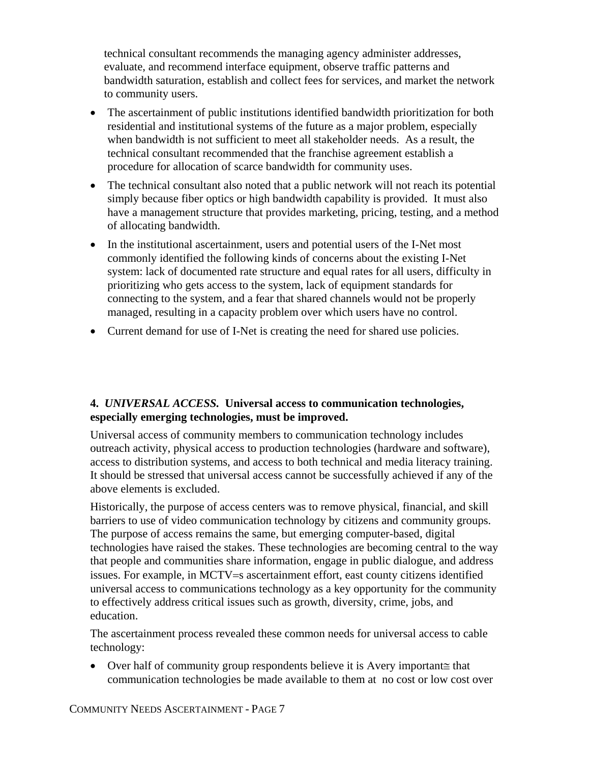technical consultant recommends the managing agency administer addresses, evaluate, and recommend interface equipment, observe traffic patterns and bandwidth saturation, establish and collect fees for services, and market the network to community users.

- The ascertainment of public institutions identified bandwidth prioritization for both residential and institutional systems of the future as a major problem, especially when bandwidth is not sufficient to meet all stakeholder needs. As a result, the technical consultant recommended that the franchise agreement establish a procedure for allocation of scarce bandwidth for community uses.
- The technical consultant also noted that a public network will not reach its potential simply because fiber optics or high bandwidth capability is provided. It must also have a management structure that provides marketing, pricing, testing, and a method of allocating bandwidth.
- In the institutional ascertainment, users and potential users of the I-Net most commonly identified the following kinds of concerns about the existing I-Net system: lack of documented rate structure and equal rates for all users, difficulty in prioritizing who gets access to the system, lack of equipment standards for connecting to the system, and a fear that shared channels would not be properly managed, resulting in a capacity problem over which users have no control.
- Current demand for use of I-Net is creating the need for shared use policies.

# **4.** *UNIVERSAL ACCESS.* **Universal access to communication technologies, especially emerging technologies, must be improved.**

Universal access of community members to communication technology includes outreach activity, physical access to production technologies (hardware and software), access to distribution systems, and access to both technical and media literacy training. It should be stressed that universal access cannot be successfully achieved if any of the above elements is excluded.

Historically, the purpose of access centers was to remove physical, financial, and skill barriers to use of video communication technology by citizens and community groups. The purpose of access remains the same, but emerging computer-based, digital technologies have raised the stakes. These technologies are becoming central to the way that people and communities share information, engage in public dialogue, and address issues. For example, in MCTV=s ascertainment effort, east county citizens identified universal access to communications technology as a key opportunity for the community to effectively address critical issues such as growth, diversity, crime, jobs, and education.

The ascertainment process revealed these common needs for universal access to cable technology:

• Over half of community group respondents believe it is Αvery important≅ that communication technologies be made available to them at no cost or low cost over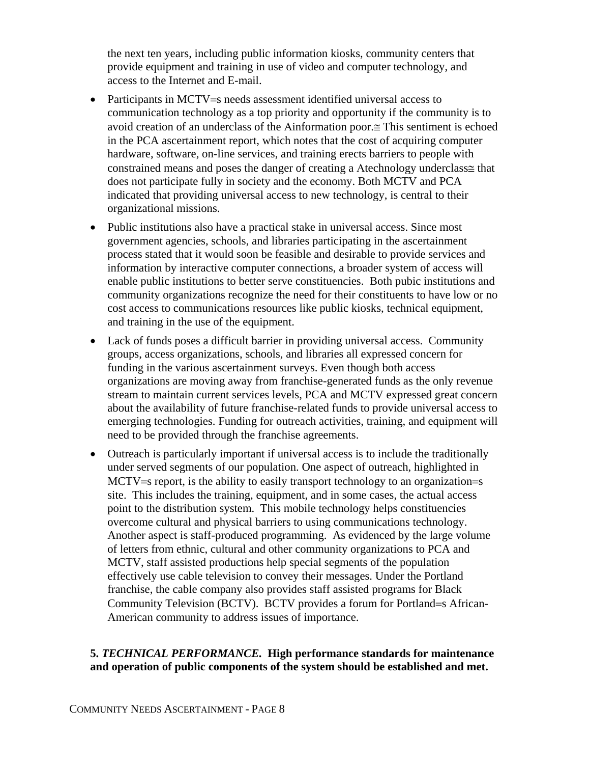the next ten years, including public information kiosks, community centers that provide equipment and training in use of video and computer technology, and access to the Internet and E-mail.

- Participants in MCTV=s needs assessment identified universal access to communication technology as a top priority and opportunity if the community is to avoid creation of an underclass of the Αinformation poor.≅ This sentiment is echoed in the PCA ascertainment report, which notes that the cost of acquiring computer hardware, software, on-line services, and training erects barriers to people with constrained means and poses the danger of creating a Αtechnology underclass≅ that does not participate fully in society and the economy. Both MCTV and PCA indicated that providing universal access to new technology, is central to their organizational missions.
- Public institutions also have a practical stake in universal access. Since most government agencies, schools, and libraries participating in the ascertainment process stated that it would soon be feasible and desirable to provide services and information by interactive computer connections, a broader system of access will enable public institutions to better serve constituencies. Both pubic institutions and community organizations recognize the need for their constituents to have low or no cost access to communications resources like public kiosks, technical equipment, and training in the use of the equipment.
- Lack of funds poses a difficult barrier in providing universal access. Community groups, access organizations, schools, and libraries all expressed concern for funding in the various ascertainment surveys. Even though both access organizations are moving away from franchise-generated funds as the only revenue stream to maintain current services levels, PCA and MCTV expressed great concern about the availability of future franchise-related funds to provide universal access to emerging technologies. Funding for outreach activities, training, and equipment will need to be provided through the franchise agreements.
- Outreach is particularly important if universal access is to include the traditionally under served segments of our population. One aspect of outreach, highlighted in MCTV=s report, is the ability to easily transport technology to an organization=s site. This includes the training, equipment, and in some cases, the actual access point to the distribution system. This mobile technology helps constituencies overcome cultural and physical barriers to using communications technology. Another aspect is staff-produced programming. As evidenced by the large volume of letters from ethnic, cultural and other community organizations to PCA and MCTV, staff assisted productions help special segments of the population effectively use cable television to convey their messages. Under the Portland franchise, the cable company also provides staff assisted programs for Black Community Television (BCTV). BCTV provides a forum for Portland=s African-American community to address issues of importance.

#### **5.** *TECHNICAL PERFORMANCE.* **High performance standards for maintenance and operation of public components of the system should be established and met.**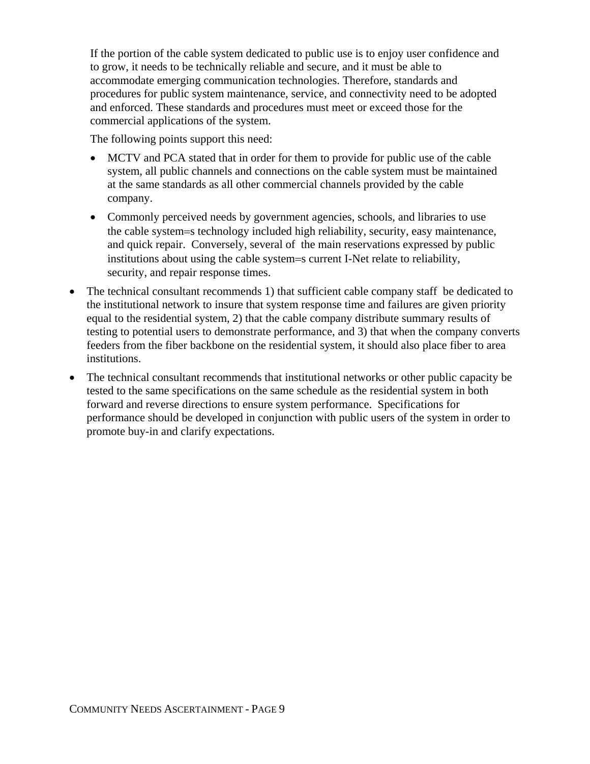If the portion of the cable system dedicated to public use is to enjoy user confidence and to grow, it needs to be technically reliable and secure, and it must be able to accommodate emerging communication technologies. Therefore, standards and procedures for public system maintenance, service, and connectivity need to be adopted and enforced. These standards and procedures must meet or exceed those for the commercial applications of the system.

The following points support this need:

- MCTV and PCA stated that in order for them to provide for public use of the cable system, all public channels and connections on the cable system must be maintained at the same standards as all other commercial channels provided by the cable company.
- Commonly perceived needs by government agencies, schools, and libraries to use the cable system=s technology included high reliability, security, easy maintenance, and quick repair. Conversely, several of the main reservations expressed by public institutions about using the cable system=s current I-Net relate to reliability, security, and repair response times.
- The technical consultant recommends 1) that sufficient cable company staff be dedicated to the institutional network to insure that system response time and failures are given priority equal to the residential system, 2) that the cable company distribute summary results of testing to potential users to demonstrate performance, and 3) that when the company converts feeders from the fiber backbone on the residential system, it should also place fiber to area institutions.
- The technical consultant recommends that institutional networks or other public capacity be tested to the same specifications on the same schedule as the residential system in both forward and reverse directions to ensure system performance. Specifications for performance should be developed in conjunction with public users of the system in order to promote buy-in and clarify expectations.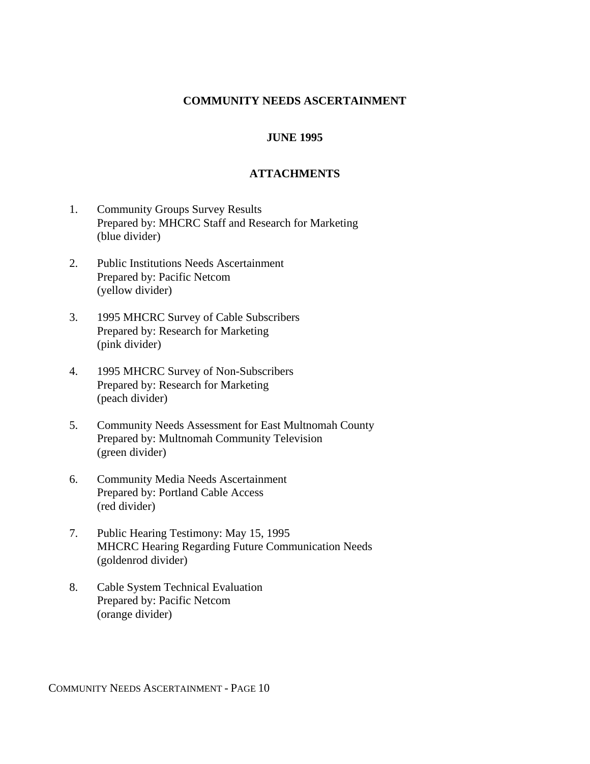#### **COMMUNITY NEEDS ASCERTAINMENT**

#### **JUNE 1995**

#### **ATTACHMENTS**

- 1. Community Groups Survey Results Prepared by: MHCRC Staff and Research for Marketing (blue divider)
- 2. Public Institutions Needs Ascertainment Prepared by: Pacific Netcom (yellow divider)
- 3. 1995 MHCRC Survey of Cable Subscribers Prepared by: Research for Marketing (pink divider)
- 4. 1995 MHCRC Survey of Non-Subscribers Prepared by: Research for Marketing (peach divider)
- 5. Community Needs Assessment for East Multnomah County Prepared by: Multnomah Community Television (green divider)
- 6. Community Media Needs Ascertainment Prepared by: Portland Cable Access (red divider)
- 7. Public Hearing Testimony: May 15, 1995 MHCRC Hearing Regarding Future Communication Needs (goldenrod divider)
- 8. Cable System Technical Evaluation Prepared by: Pacific Netcom (orange divider)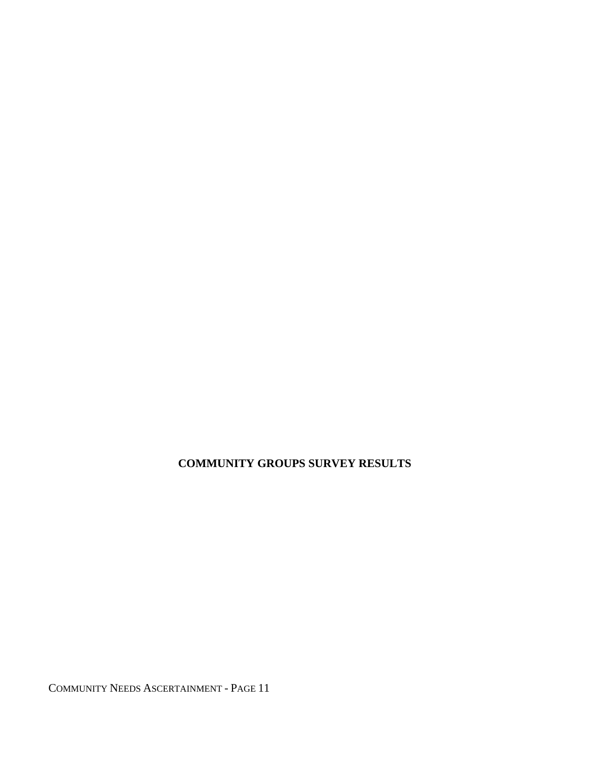**COMMUNITY GROUPS SURVEY RESULTS**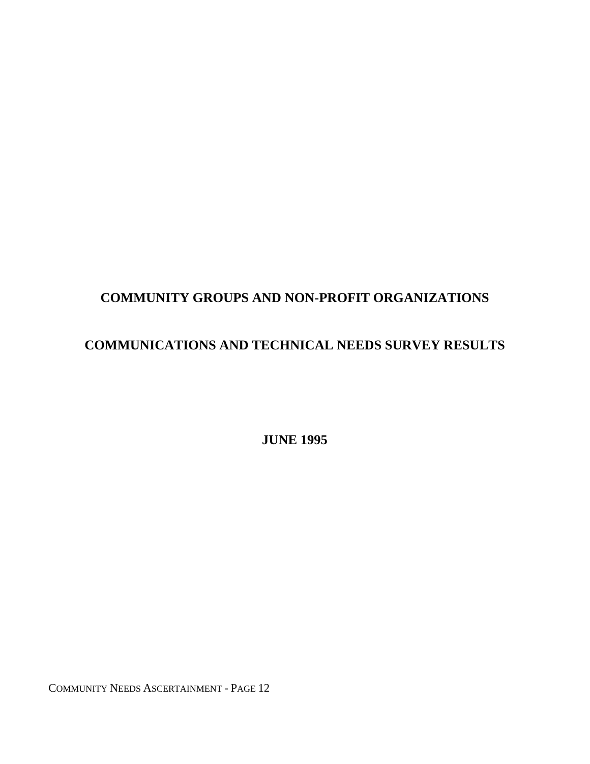# **COMMUNITY GROUPS AND NON-PROFIT ORGANIZATIONS**

# **COMMUNICATIONS AND TECHNICAL NEEDS SURVEY RESULTS**

 **JUNE 1995**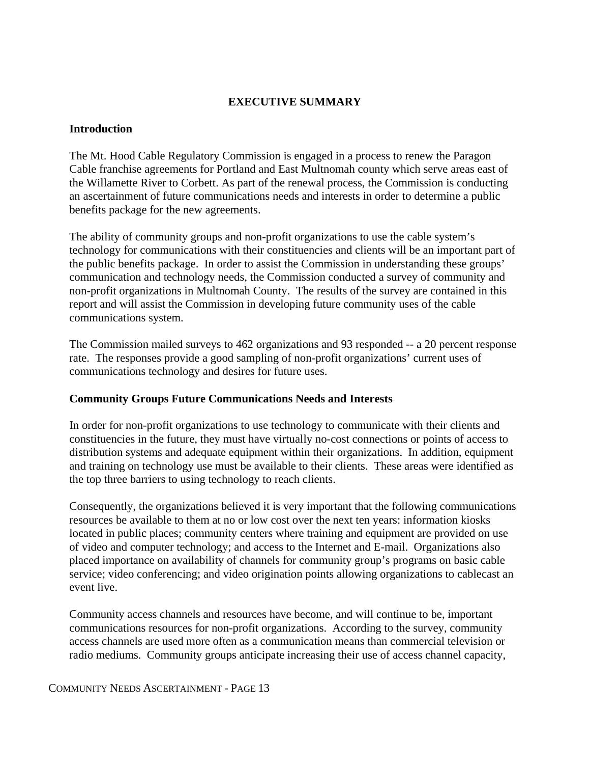#### **EXECUTIVE SUMMARY**

#### **Introduction**

The Mt. Hood Cable Regulatory Commission is engaged in a process to renew the Paragon Cable franchise agreements for Portland and East Multnomah county which serve areas east of the Willamette River to Corbett. As part of the renewal process, the Commission is conducting an ascertainment of future communications needs and interests in order to determine a public benefits package for the new agreements.

The ability of community groups and non-profit organizations to use the cable system's technology for communications with their constituencies and clients will be an important part of the public benefits package. In order to assist the Commission in understanding these groups' communication and technology needs, the Commission conducted a survey of community and non-profit organizations in Multnomah County. The results of the survey are contained in this report and will assist the Commission in developing future community uses of the cable communications system.

The Commission mailed surveys to 462 organizations and 93 responded -- a 20 percent response rate. The responses provide a good sampling of non-profit organizations' current uses of communications technology and desires for future uses.

#### **Community Groups Future Communications Needs and Interests**

In order for non-profit organizations to use technology to communicate with their clients and constituencies in the future, they must have virtually no-cost connections or points of access to distribution systems and adequate equipment within their organizations. In addition, equipment and training on technology use must be available to their clients. These areas were identified as the top three barriers to using technology to reach clients.

Consequently, the organizations believed it is very important that the following communications resources be available to them at no or low cost over the next ten years: information kiosks located in public places; community centers where training and equipment are provided on use of video and computer technology; and access to the Internet and E-mail. Organizations also placed importance on availability of channels for community group's programs on basic cable service; video conferencing; and video origination points allowing organizations to cablecast an event live.

Community access channels and resources have become, and will continue to be, important communications resources for non-profit organizations. According to the survey, community access channels are used more often as a communication means than commercial television or radio mediums. Community groups anticipate increasing their use of access channel capacity,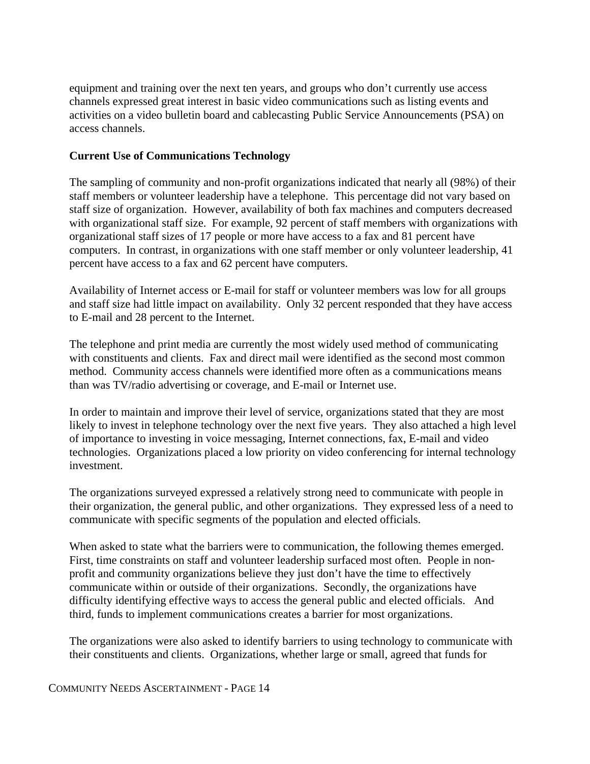equipment and training over the next ten years, and groups who don't currently use access channels expressed great interest in basic video communications such as listing events and activities on a video bulletin board and cablecasting Public Service Announcements (PSA) on access channels.

#### **Current Use of Communications Technology**

The sampling of community and non-profit organizations indicated that nearly all (98%) of their staff members or volunteer leadership have a telephone. This percentage did not vary based on staff size of organization. However, availability of both fax machines and computers decreased with organizational staff size. For example, 92 percent of staff members with organizations with organizational staff sizes of 17 people or more have access to a fax and 81 percent have computers. In contrast, in organizations with one staff member or only volunteer leadership, 41 percent have access to a fax and 62 percent have computers.

Availability of Internet access or E-mail for staff or volunteer members was low for all groups and staff size had little impact on availability. Only 32 percent responded that they have access to E-mail and 28 percent to the Internet.

The telephone and print media are currently the most widely used method of communicating with constituents and clients. Fax and direct mail were identified as the second most common method. Community access channels were identified more often as a communications means than was TV/radio advertising or coverage, and E-mail or Internet use.

In order to maintain and improve their level of service, organizations stated that they are most likely to invest in telephone technology over the next five years. They also attached a high level of importance to investing in voice messaging, Internet connections, fax, E-mail and video technologies. Organizations placed a low priority on video conferencing for internal technology investment.

The organizations surveyed expressed a relatively strong need to communicate with people in their organization, the general public, and other organizations. They expressed less of a need to communicate with specific segments of the population and elected officials.

When asked to state what the barriers were to communication, the following themes emerged. First, time constraints on staff and volunteer leadership surfaced most often. People in nonprofit and community organizations believe they just don't have the time to effectively communicate within or outside of their organizations. Secondly, the organizations have difficulty identifying effective ways to access the general public and elected officials. And third, funds to implement communications creates a barrier for most organizations.

The organizations were also asked to identify barriers to using technology to communicate with their constituents and clients. Organizations, whether large or small, agreed that funds for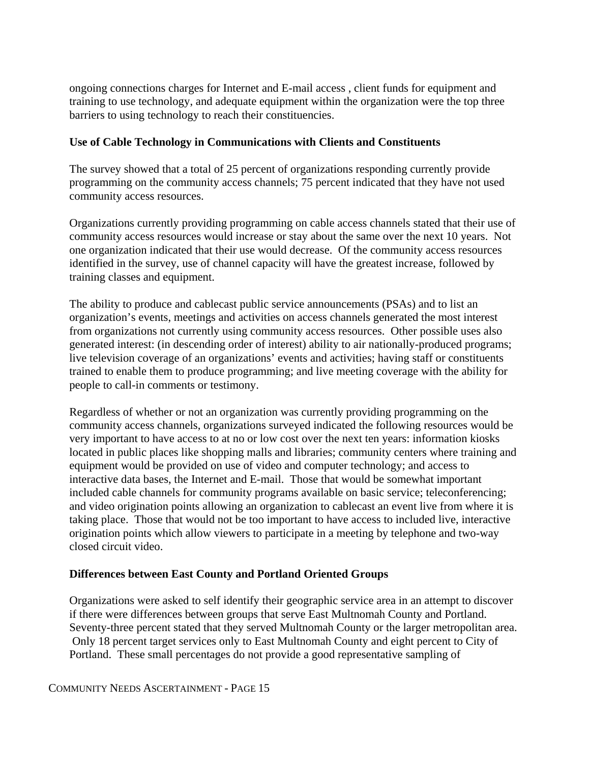ongoing connections charges for Internet and E-mail access , client funds for equipment and training to use technology, and adequate equipment within the organization were the top three barriers to using technology to reach their constituencies.

#### **Use of Cable Technology in Communications with Clients and Constituents**

The survey showed that a total of 25 percent of organizations responding currently provide programming on the community access channels; 75 percent indicated that they have not used community access resources.

Organizations currently providing programming on cable access channels stated that their use of community access resources would increase or stay about the same over the next 10 years. Not one organization indicated that their use would decrease. Of the community access resources identified in the survey, use of channel capacity will have the greatest increase, followed by training classes and equipment.

The ability to produce and cablecast public service announcements (PSAs) and to list an organization's events, meetings and activities on access channels generated the most interest from organizations not currently using community access resources. Other possible uses also generated interest: (in descending order of interest) ability to air nationally-produced programs; live television coverage of an organizations' events and activities; having staff or constituents trained to enable them to produce programming; and live meeting coverage with the ability for people to call-in comments or testimony.

Regardless of whether or not an organization was currently providing programming on the community access channels, organizations surveyed indicated the following resources would be very important to have access to at no or low cost over the next ten years: information kiosks located in public places like shopping malls and libraries; community centers where training and equipment would be provided on use of video and computer technology; and access to interactive data bases, the Internet and E-mail. Those that would be somewhat important included cable channels for community programs available on basic service; teleconferencing; and video origination points allowing an organization to cablecast an event live from where it is taking place. Those that would not be too important to have access to included live, interactive origination points which allow viewers to participate in a meeting by telephone and two-way closed circuit video.

#### **Differences between East County and Portland Oriented Groups**

Organizations were asked to self identify their geographic service area in an attempt to discover if there were differences between groups that serve East Multnomah County and Portland. Seventy-three percent stated that they served Multnomah County or the larger metropolitan area. Only 18 percent target services only to East Multnomah County and eight percent to City of Portland. These small percentages do not provide a good representative sampling of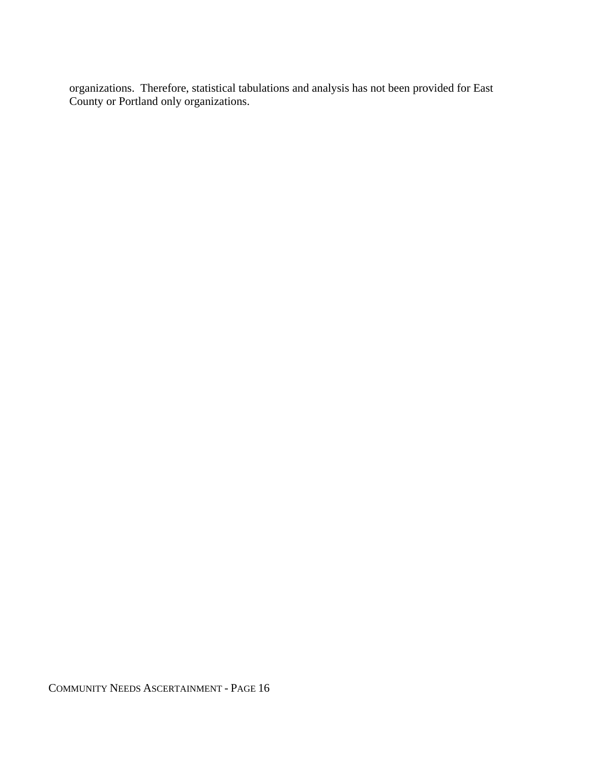organizations. Therefore, statistical tabulations and analysis has not been provided for East County or Portland only organizations.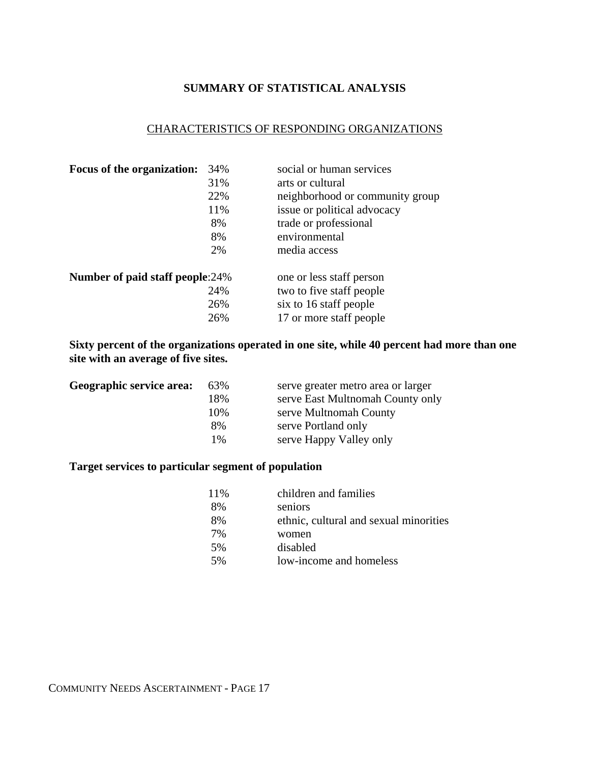#### **SUMMARY OF STATISTICAL ANALYSIS**

# CHARACTERISTICS OF RESPONDING ORGANIZATIONS

| 31%<br>arts or cultural<br>22%<br>neighborhood or community group  |
|--------------------------------------------------------------------|
|                                                                    |
|                                                                    |
| 11%<br>issue or political advocacy                                 |
| trade or professional<br>8%                                        |
| environmental<br>8%                                                |
| 2%<br>media access                                                 |
| <b>Number of paid staff people:24%</b><br>one or less staff person |
| 24%<br>two to five staff people                                    |
| 26%<br>six to 16 staff people                                      |
| 17 or more staff people<br>26%                                     |

**Sixty percent of the organizations operated in one site, while 40 percent had more than one site with an average of five sites.**

| Geographic service area: | 63%   | serve greater metro area or larger |
|--------------------------|-------|------------------------------------|
|                          | 18%   | serve East Multnomah County only   |
|                          | 10%   | serve Multnomah County             |
|                          | 8%    | serve Portland only                |
|                          | $1\%$ | serve Happy Valley only            |
|                          |       |                                    |

### **Target services to particular segment of population**

| 11% | children and families                  |
|-----|----------------------------------------|
| 8%  | seniors                                |
| 8%  | ethnic, cultural and sexual minorities |
| 7%  | women                                  |
| 5%  | disabled                               |
| .5% | low-income and homeless                |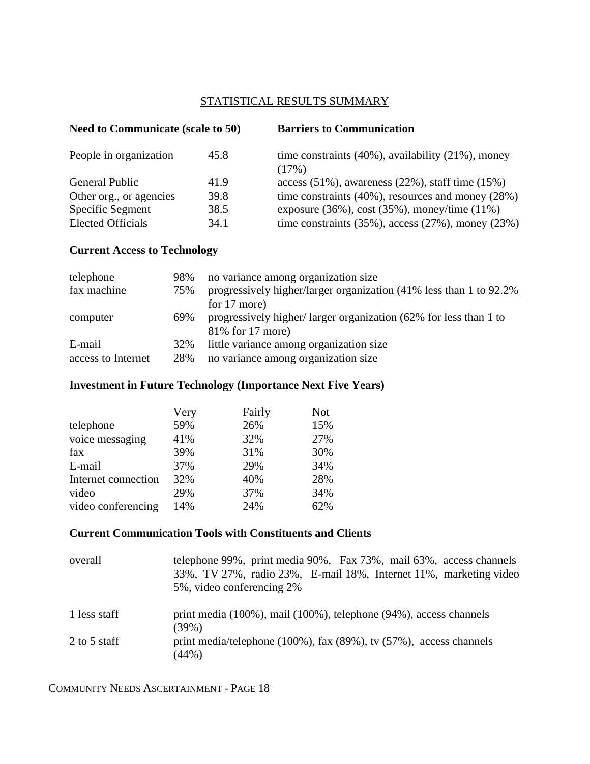#### STATISTICAL RESULTS SUMMARY

|              | <b>Barriers to Communication</b>                                                                                        |  |
|--------------|-------------------------------------------------------------------------------------------------------------------------|--|
| 45.8         | time constraints $(40\%)$ , availability $(21\%)$ , money<br>(17%)                                                      |  |
| 41.9         | access $(51\%)$ , awareness $(22\%)$ , staff time $(15\%)$                                                              |  |
| 39.8         | time constraints $(40\%)$ , resources and money $(28\%)$                                                                |  |
| 38.5<br>34.1 | exposure $(36\%)$ , cost $(35\%)$ , money/time $(11\%)$<br>time constraints $(35\%)$ , access $(27\%)$ , money $(23\%)$ |  |
|              | <b>Need to Communicate (scale to 50)</b>                                                                                |  |

# **Current Access to Technology**

| telephone          | 98% | no variance among organization size                                 |
|--------------------|-----|---------------------------------------------------------------------|
| fax machine        | 75% | progressively higher/larger organization (41% less than 1 to 92.2%) |
|                    |     | for 17 more)                                                        |
| computer           | 69% | progressively higher/larger organization (62% for less than 1 to    |
|                    |     | 81% for 17 more)                                                    |
| E-mail             | 32% | little variance among organization size                             |
| access to Internet | 28% | no variance among organization size                                 |

# **Investment in Future Technology (Importance Next Five Years)**

|                     | Very | Fairly | <b>Not</b> |
|---------------------|------|--------|------------|
| telephone           | 59%  | 26%    | 15%        |
| voice messaging     | 41%  | 32%    | 27%        |
| fax                 | 39%  | 31%    | 30%        |
| E-mail              | 37%  | 29%    | 34%        |
| Internet connection | 32%  | 40%    | 28%        |
| video               | 29%  | 37%    | 34%        |
| video conferencing  | 14%  | 24%    | 62%        |

# **Current Communication Tools with Constituents and Clients**

| overall      | telephone 99%, print media 90%, Fax 73%, mail 63%, access channels<br>33%, TV 27%, radio 23%, E-mail 18%, Internet 11%, marketing video<br>5%, video conferencing 2% |  |
|--------------|----------------------------------------------------------------------------------------------------------------------------------------------------------------------|--|
| 1 less staff | print media (100%), mail (100%), telephone (94%), access channels<br>$(39\%)$                                                                                        |  |
| 2 to 5 staff | print media/telephone $(100\%)$ , fax $(89\%)$ , tv $(57\%)$ , access channels<br>(44%)                                                                              |  |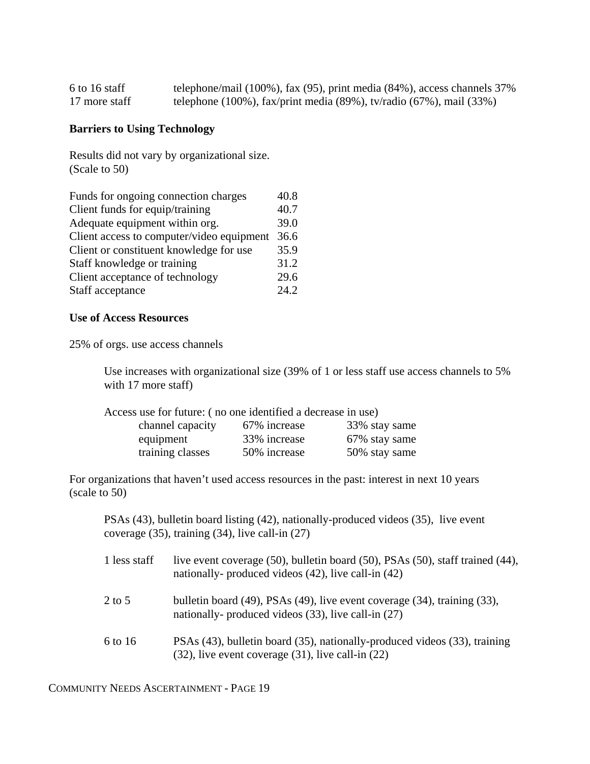| 6 to 16 staff | telephone/mail $(100\%)$ , fax $(95)$ , print media $(84\%)$ , access channels 37% |
|---------------|------------------------------------------------------------------------------------|
| 17 more staff | telephone (100%), fax/print media (89%), tv/radio (67%), mail (33%)                |

#### **Barriers to Using Technology**

Results did not vary by organizational size. (Scale to 50)

| Funds for ongoing connection charges      | 40.8 |
|-------------------------------------------|------|
| Client funds for equip/training           | 40.7 |
| Adequate equipment within org.            | 39.0 |
| Client access to computer/video equipment | 36.6 |
| Client or constituent knowledge for use   | 35.9 |
| Staff knowledge or training               | 31.2 |
| Client acceptance of technology           | 29.6 |
| Staff acceptance                          | 24.2 |
|                                           |      |

#### **Use of Access Resources**

25% of orgs. use access channels

Use increases with organizational size (39% of 1 or less staff use access channels to 5% with 17 more staff)

| Access use for future: (no one identified a decrease in use) |              |               |
|--------------------------------------------------------------|--------------|---------------|
| channel capacity                                             | 67% increase | 33% stay same |
| equipment                                                    | 33% increase | 67% stay same |
| training classes                                             | 50% increase | 50% stay same |

For organizations that haven't used access resources in the past: interest in next 10 years (scale to 50)

PSAs (43), bulletin board listing (42), nationally-produced videos (35), live event coverage (35), training (34), live call-in (27)

| 1 less staff | live event coverage (50), bulletin board (50), PSAs (50), staff trained (44),<br>nationally- produced videos $(42)$ , live call-in $(42)$        |
|--------------|--------------------------------------------------------------------------------------------------------------------------------------------------|
| $2$ to 5     | bulletin board $(49)$ , PSAs $(49)$ , live event coverage $(34)$ , training $(33)$ ,<br>nationally- produced videos $(33)$ , live call-in $(27)$ |
| 6 to 16      | PSAs (43), bulletin board (35), nationally-produced videos (33), training<br>$(32)$ , live event coverage $(31)$ , live call-in $(22)$           |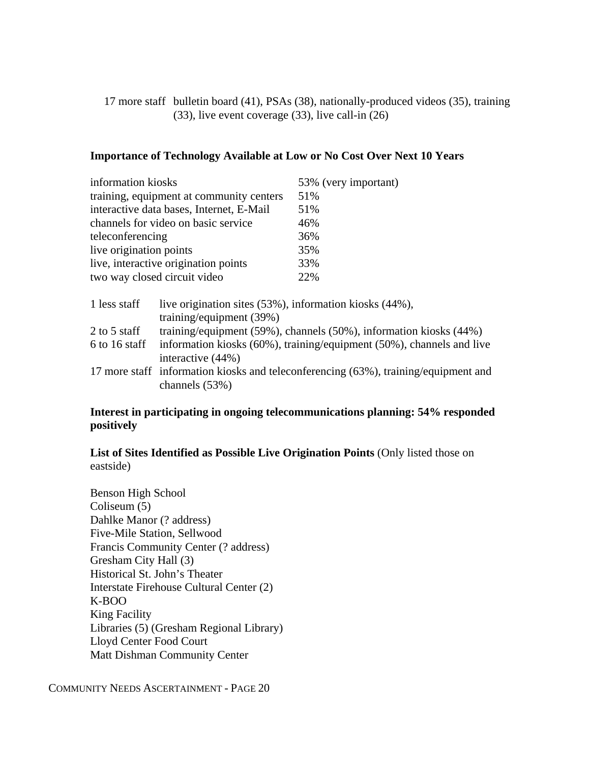17 more staff bulletin board (41), PSAs (38), nationally-produced videos (35), training (33), live event coverage (33), live call-in (26)

#### **Importance of Technology Available at Low or No Cost Over Next 10 Years**

| information kiosks                                                                                          |                                                                               | 53% (very important) |  |
|-------------------------------------------------------------------------------------------------------------|-------------------------------------------------------------------------------|----------------------|--|
| training, equipment at community centers                                                                    |                                                                               | 51%                  |  |
|                                                                                                             | interactive data bases, Internet, E-Mail                                      | 51%                  |  |
|                                                                                                             | channels for video on basic service                                           | 46%                  |  |
| teleconferencing                                                                                            |                                                                               | 36%                  |  |
| live origination points                                                                                     |                                                                               | 35%                  |  |
| live, interactive origination points                                                                        |                                                                               | 33%                  |  |
| two way closed circuit video                                                                                |                                                                               | 22%                  |  |
| 1 less staff<br>live origination sites (53%), information kiosks (44%),<br>training/equipment $(39%)$       |                                                                               |                      |  |
| 2 to 5 staff                                                                                                | training/equipment $(59\%)$ , channels $(50\%)$ , information kiosks $(44\%)$ |                      |  |
| information kiosks (60%), training/equipment (50%), channels and live<br>6 to 16 staff<br>interactive (44%) |                                                                               |                      |  |

17 more staff information kiosks and teleconferencing (63%), training/equipment and channels (53%)

#### **Interest in participating in ongoing telecommunications planning: 54% responded positively**

#### **List of Sites Identified as Possible Live Origination Points** (Only listed those on eastside)

Benson High School Coliseum (5) Dahlke Manor (? address) Five-Mile Station, Sellwood Francis Community Center (? address) Gresham City Hall (3) Historical St. John's Theater Interstate Firehouse Cultural Center (2) K-BOO King Facility Libraries (5) (Gresham Regional Library) Lloyd Center Food Court Matt Dishman Community Center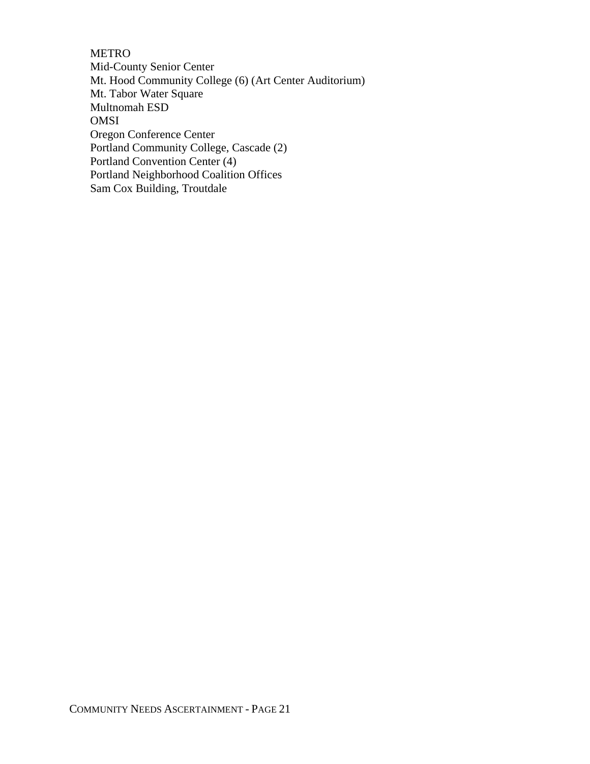METRO Mid-County Senior Center Mt. Hood Community College (6) (Art Center Auditorium) Mt. Tabor Water Square Multnomah ESD OMSI Oregon Conference Center Portland Community College, Cascade (2) Portland Convention Center (4) Portland Neighborhood Coalition Offices Sam Cox Building, Troutdale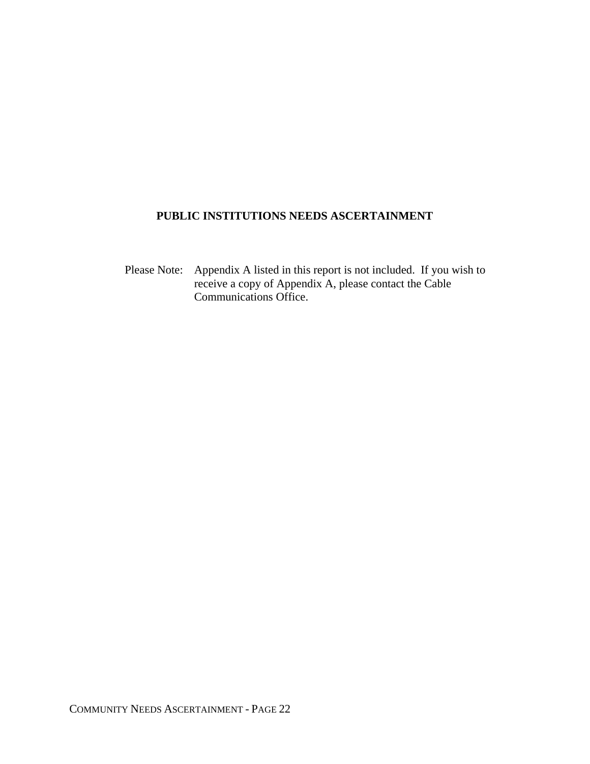# **PUBLIC INSTITUTIONS NEEDS ASCERTAINMENT**

 Please Note: Appendix A listed in this report is not included. If you wish to receive a copy of Appendix A, please contact the Cable Communications Office.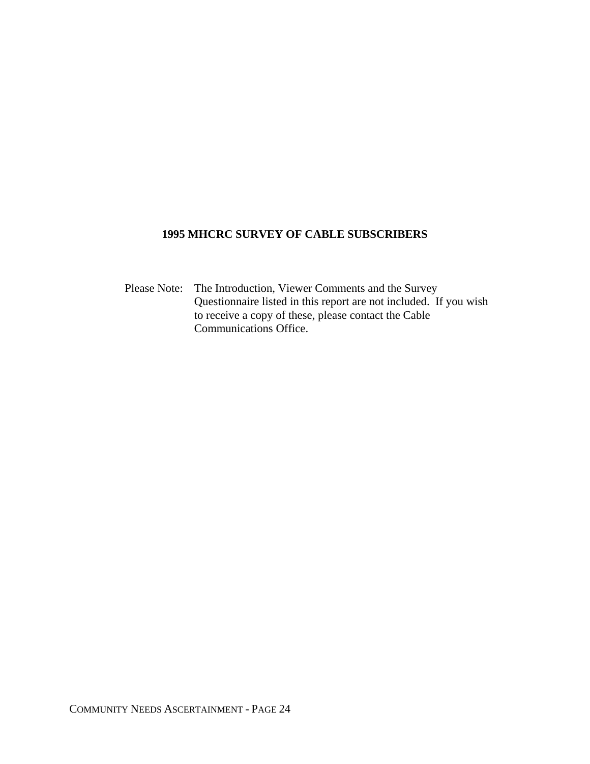### **1995 MHCRC SURVEY OF CABLE SUBSCRIBERS**

 Please Note: The Introduction, Viewer Comments and the Survey Questionnaire listed in this report are not included. If you wish to receive a copy of these, please contact the Cable Communications Office.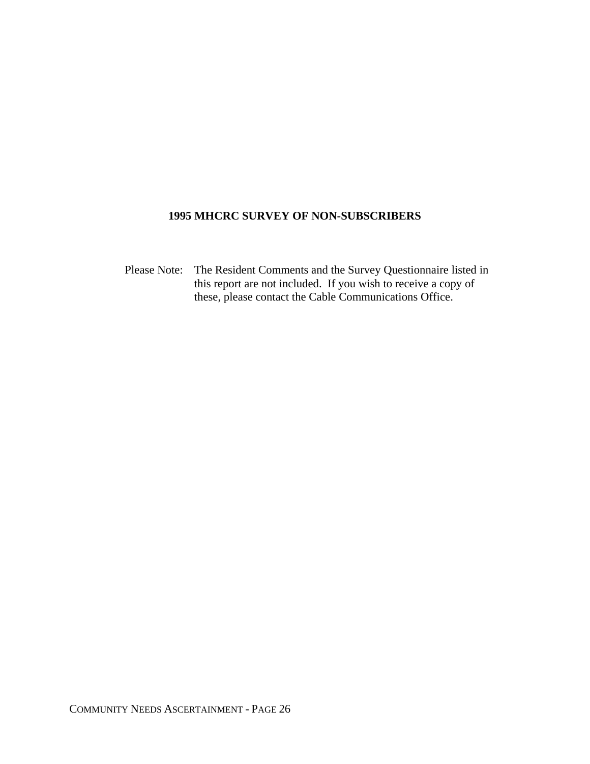#### **1995 MHCRC SURVEY OF NON-SUBSCRIBERS**

 Please Note: The Resident Comments and the Survey Questionnaire listed in this report are not included. If you wish to receive a copy of these, please contact the Cable Communications Office.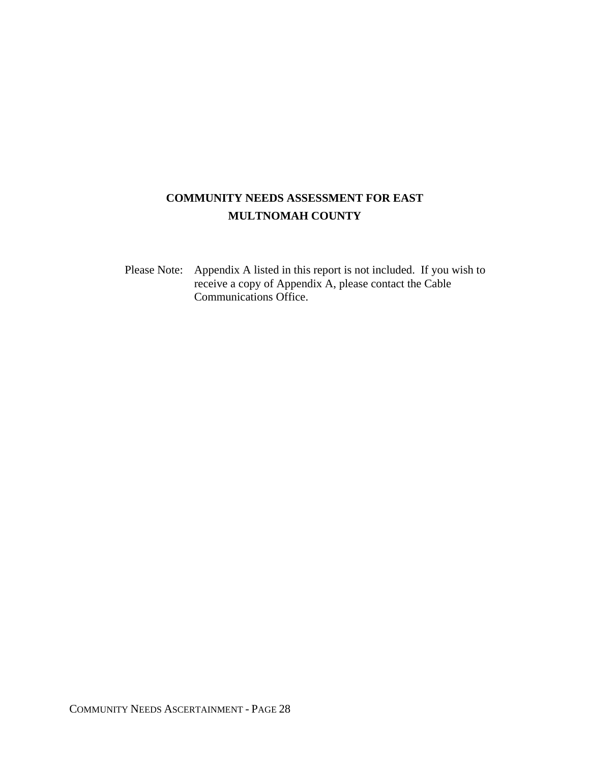# **COMMUNITY NEEDS ASSESSMENT FOR EAST MULTNOMAH COUNTY**

 Please Note: Appendix A listed in this report is not included. If you wish to receive a copy of Appendix A, please contact the Cable Communications Office.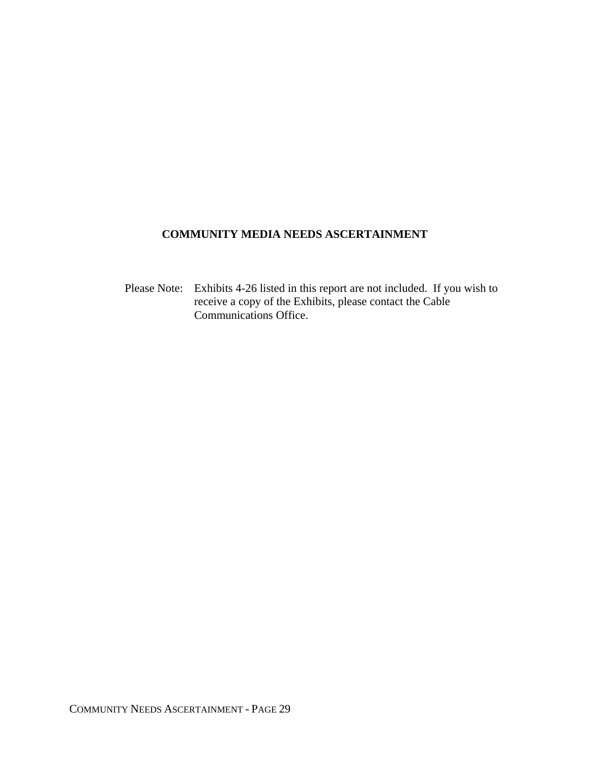# **COMMUNITY MEDIA NEEDS ASCERTAINMENT**

Please Note: Exhibits 4-26 listed in this report are not included. If you wish to receive a copy of the Exhibits, please contact the Cable Communications Office.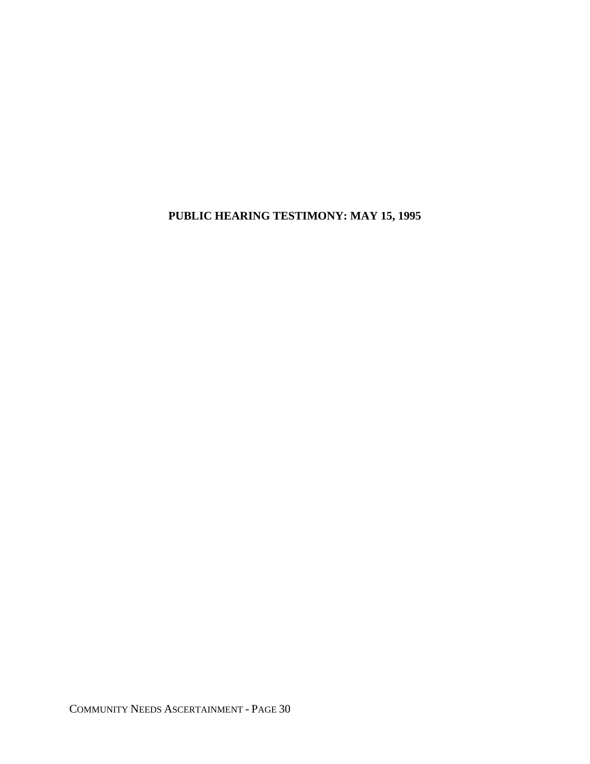**PUBLIC HEARING TESTIMONY: MAY 15, 1995**